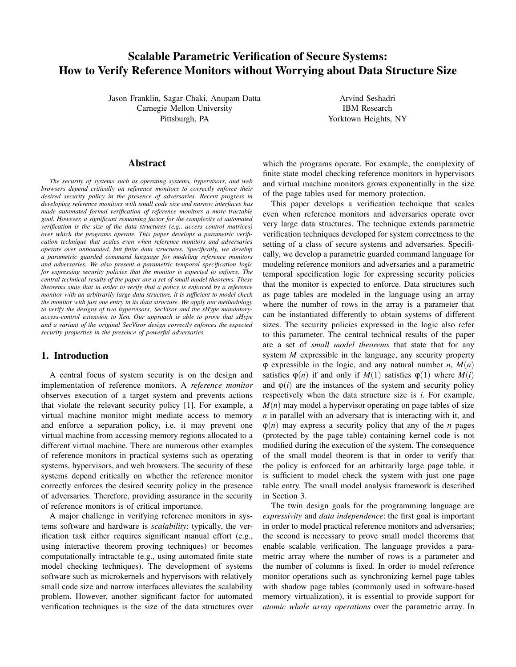# Scalable Parametric Verification of Secure Systems: How to Verify Reference Monitors without Worrying about Data Structure Size

Jason Franklin, Sagar Chaki, Anupam Datta Carnegie Mellon University Pittsburgh, PA

Arvind Seshadri IBM Research Yorktown Heights, NY

### Abstract

*The security of systems such as operating systems, hypervisors, and web browsers depend critically on reference monitors to correctly enforce their desired security policy in the presence of adversaries. Recent progress in developing reference monitors with small code size and narrow interfaces has made automated formal verification of reference monitors a more tractable goal. However, a significant remaining factor for the complexity of automated verification is the size of the data structures (e.g., access control matrices) over which the programs operate. This paper develops a parametric verification technique that scales even when reference monitors and adversaries operate over unbounded, but finite data structures. Specifically, we develop a parametric guarded command language for modeling reference monitors and adversaries. We also present a parametric temporal specification logic for expressing security policies that the monitor is expected to enforce. The central technical results of the paper are a set of small model theorems. These theorems state that in order to verify that a policy is enforced by a reference monitor with an arbitrarily large data structure, it is sufficient to model check the monitor with just one entry in its data structure. We apply our methodology to verify the designs of two hypervisors, SecVisor and the sHype mandatoryaccess-control extension to Xen. Our approach is able to prove that sHype and a variant of the original SecVisor design correctly enforces the expected security properties in the presence of powerful adversaries.*

### 1. Introduction

A central focus of system security is on the design and implementation of reference monitors. A *reference monitor* observes execution of a target system and prevents actions that violate the relevant security policy [1]. For example, a virtual machine monitor might mediate access to memory and enforce a separation policy, i.e. it may prevent one virtual machine from accessing memory regions allocated to a different virtual machine. There are numerous other examples of reference monitors in practical systems such as operating systems, hypervisors, and web browsers. The security of these systems depend critically on whether the reference monitor correctly enforces the desired security policy in the presence of adversaries. Therefore, providing assurance in the security of reference monitors is of critical importance.

A major challenge in verifying reference monitors in systems software and hardware is *scalability*: typically, the verification task either requires significant manual effort (e.g., using interactive theorem proving techniques) or becomes computationally intractable (e.g., using automated finite state model checking techniques). The development of systems software such as microkernels and hypervisors with relatively small code size and narrow interfaces alleviates the scalability problem. However, another significant factor for automated verification techniques is the size of the data structures over

which the programs operate. For example, the complexity of finite state model checking reference monitors in hypervisors and virtual machine monitors grows exponentially in the size of the page tables used for memory protection.

This paper develops a verification technique that scales even when reference monitors and adversaries operate over very large data structures. The technique extends parametric verification techniques developed for system correctness to the setting of a class of secure systems and adversaries. Specifically, we develop a parametric guarded command language for modeling reference monitors and adversaries and a parametric temporal specification logic for expressing security policies that the monitor is expected to enforce. Data structures such as page tables are modeled in the language using an array where the number of rows in the array is a parameter that can be instantiated differently to obtain systems of different sizes. The security policies expressed in the logic also refer to this parameter. The central technical results of the paper are a set of *small model theorems* that state that for any system *M* expressible in the language, any security property  $\varphi$  expressible in the logic, and any natural number *n*,  $M(n)$ satisfies  $\varphi(n)$  if and only if  $M(1)$  satisfies  $\varphi(1)$  where  $M(i)$ and  $\varphi(i)$  are the instances of the system and security policy respectively when the data structure size is *i*. For example,  $M(n)$  may model a hypervisor operating on page tables of size *n* in parallel with an adversary that is interacting with it, and  $\varphi(n)$  may express a security policy that any of the *n* pages (protected by the page table) containing kernel code is not modified during the execution of the system. The consequence of the small model theorem is that in order to verify that the policy is enforced for an arbitrarily large page table, it is sufficient to model check the system with just one page table entry. The small model analysis framework is described in Section 3.

The twin design goals for the programming language are *expressivity* and *data independence*: the first goal is important in order to model practical reference monitors and adversaries; the second is necessary to prove small model theorems that enable scalable verification. The language provides a parametric array where the number of rows is a parameter and the number of columns is fixed. In order to model reference monitor operations such as synchronizing kernel page tables with shadow page tables (commonly used in software-based memory virtualization), it is essential to provide support for *atomic whole array operations* over the parametric array. In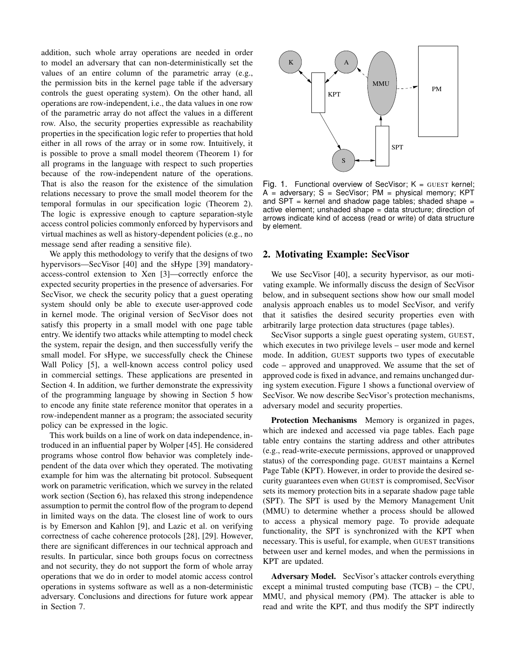addition, such whole array operations are needed in order to model an adversary that can non-deterministically set the values of an entire column of the parametric array (e.g., the permission bits in the kernel page table if the adversary controls the guest operating system). On the other hand, all operations are row-independent, i.e., the data values in one row of the parametric array do not affect the values in a different row. Also, the security properties expressible as reachability properties in the specification logic refer to properties that hold either in all rows of the array or in some row. Intuitively, it is possible to prove a small model theorem (Theorem 1) for all programs in the language with respect to such properties because of the row-independent nature of the operations. That is also the reason for the existence of the simulation relations necessary to prove the small model theorem for the temporal formulas in our specification logic (Theorem 2). The logic is expressive enough to capture separation-style access control policies commonly enforced by hypervisors and virtual machines as well as history-dependent policies (e.g., no message send after reading a sensitive file).

We apply this methodology to verify that the designs of two hypervisors—SecVisor [40] and the sHype [39] mandatoryaccess-control extension to Xen [3]—correctly enforce the expected security properties in the presence of adversaries. For SecVisor, we check the security policy that a guest operating system should only be able to execute user-approved code in kernel mode. The original version of SecVisor does not satisfy this property in a small model with one page table entry. We identify two attacks while attempting to model check the system, repair the design, and then successfully verify the small model. For sHype, we successfully check the Chinese Wall Policy [5], a well-known access control policy used in commercial settings. These applications are presented in Section 4. In addition, we further demonstrate the expressivity of the programming language by showing in Section 5 how to encode any finite state reference monitor that operates in a row-independent manner as a program; the associated security policy can be expressed in the logic.

This work builds on a line of work on data independence, introduced in an influential paper by Wolper [45]. He considered programs whose control flow behavior was completely independent of the data over which they operated. The motivating example for him was the alternating bit protocol. Subsequent work on parametric verification, which we survey in the related work section (Section 6), has relaxed this strong independence assumption to permit the control flow of the program to depend in limited ways on the data. The closest line of work to ours is by Emerson and Kahlon [9], and Lazic et al. on verifying correctness of cache coherence protocols [28], [29]. However, there are significant differences in our technical approach and results. In particular, since both groups focus on correctness and not security, they do not support the form of whole array operations that we do in order to model atomic access control operations in systems software as well as a non-deterministic adversary. Conclusions and directions for future work appear in Section 7.



Fig. 1. Functional overview of SecVisor;  $K = GUEST$  kernel;  $A =$  adversary;  $S =$  SecVisor; PM = physical memory; KPT and  $SPT =$  kernel and shadow page tables; shaded shape  $=$ active element; unshaded shape = data structure; direction of arrows indicate kind of access (read or write) of data structure by element.

# 2. Motivating Example: SecVisor

We use SecVisor [40], a security hypervisor, as our motivating example. We informally discuss the design of SecVisor below, and in subsequent sections show how our small model analysis approach enables us to model SecVisor, and verify that it satisfies the desired security properties even with arbitrarily large protection data structures (page tables).

SecVisor supports a single guest operating system, GUEST, which executes in two privilege levels – user mode and kernel mode. In addition, GUEST supports two types of executable code – approved and unapproved. We assume that the set of approved code is fixed in advance, and remains unchanged during system execution. Figure 1 shows a functional overview of SecVisor. We now describe SecVisor's protection mechanisms, adversary model and security properties.

Protection Mechanisms Memory is organized in pages, which are indexed and accessed via page tables. Each page table entry contains the starting address and other attributes (e.g., read-write-execute permissions, approved or unapproved status) of the corresponding page. GUEST maintains a Kernel Page Table (KPT). However, in order to provide the desired security guarantees even when GUEST is compromised, SecVisor sets its memory protection bits in a separate shadow page table (SPT). The SPT is used by the Memory Management Unit (MMU) to determine whether a process should be allowed to access a physical memory page. To provide adequate functionality, the SPT is synchronized with the KPT when necessary. This is useful, for example, when GUEST transitions between user and kernel modes, and when the permissions in KPT are updated.

Adversary Model. SecVisor's attacker controls everything except a minimal trusted computing base (TCB) – the CPU, MMU, and physical memory (PM). The attacker is able to read and write the KPT, and thus modify the SPT indirectly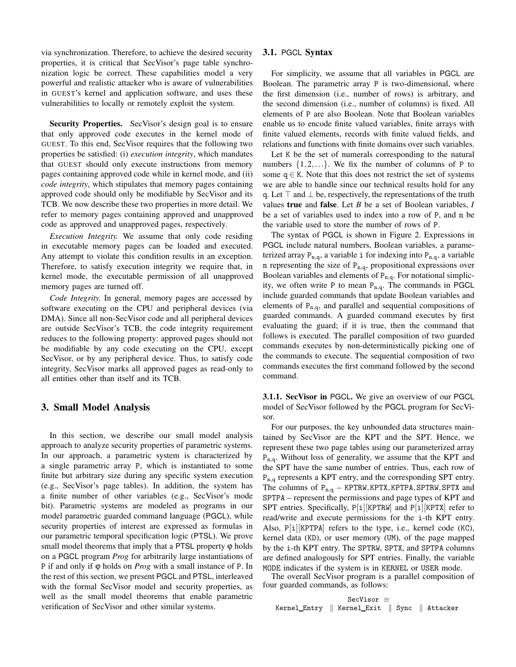via synchronization. Therefore, to achieve the desired security properties, it is critical that SecVisor's page table synchronization logic be correct. These capabilities model a very powerful and realistic attacker who is aware of vulnerabilities in GUEST's kernel and application software, and uses these vulnerabilities to locally or remotely exploit the system.

Security Properties. SecVisor's design goal is to ensure that only approved code executes in the kernel mode of GUEST. To this end, SecVisor requires that the following two properties be satisfied: (i) *execution integrity*, which mandates that GUEST should only execute instructions from memory pages containing approved code while in kernel mode, and (ii) *code integrity*, which stipulates that memory pages containing approved code should only be modifiable by SecVisor and its TCB. We now describe these two properties in more detail. We refer to memory pages containing approved and unapproved code as approved and unapproved pages, respectively.

*Execution Integrity.* We assume that only code residing in executable memory pages can be loaded and executed. Any attempt to violate this condition results in an exception. Therefore, to satisfy execution integrity we require that, in kernel mode, the executable permission of all unapproved memory pages are turned off.

*Code Integrity.* In general, memory pages are accessed by software executing on the CPU and peripheral devices (via DMA). Since all non-SecVisor code and all peripheral devices are outside SecVisor's TCB, the code integrity requirement reduces to the following property: approved pages should not be modifiable by any code executing on the CPU, except SecVisor, or by any peripheral device. Thus, to satisfy code integrity, SecVisor marks all approved pages as read-only to all entities other than itself and its TCB.

# 3. Small Model Analysis

In this section, we describe our small model analysis approach to analyze security properties of parametric systems. In our approach, a parametric system is characterized by a single parametric array P, which is instantiated to some finite but arbitrary size during any specific system execution (e.g., SecVisor's page tables). In addition, the system has a finite number of other variables (e.g., SecVisor's mode bit). Parametric systems are modeled as programs in our model parametric guarded command language (PGCL), while security properties of interest are expressed as formulas in our parametric temporal specification logic (PTSL). We prove small model theorems that imply that a PTSL property  $\varphi$  holds on a PGCL program *Prog* for arbitrarily large instantiations of P if and only if ϕ holds on *Prog* with a small instance of P. In the rest of this section, we present PGCL and PTSL, interleaved with the formal SecVisor model and security properties, as well as the small model theorems that enable parametric verification of SecVisor and other similar systems.

#### 3.1. PGCL Syntax

For simplicity, we assume that all variables in PGCL are Boolean. The parametric array P is two-dimensional, where the first dimension (i.e., number of rows) is arbitrary, and the second dimension (i.e., number of columns) is fixed. All elements of P are also Boolean. Note that Boolean variables enable us to encode finite valued variables, finite arrays with finite valued elements, records with finite valued fields, and relations and functions with finite domains over such variables.

Let K be the set of numerals corresponding to the natural numbers  $\{1,2,...\}$ . We fix the number of columns of P to some  $q \in K$ . Note that this does not restrict the set of systems we are able to handle since our technical results hold for any q. Let  $\top$  and  $\bot$  be, respectively, the representations of the truth values true and false. Let *B* be a set of Boolean variables, *I* be a set of variables used to index into a row of P, and n be the variable used to store the number of rows of P.

The syntax of PGCL is shown in Figure 2. Expressions in PGCL include natural numbers, Boolean variables, a parameterized array  $P_{n,q}$ , a variable i for indexing into  $P_{n,q}$ , a variable n representing the size of  $P_{n,q}$ , propositional expressions over Boolean variables and elements of  $P_{n,q}$ . For notational simplicity, we often write P to mean  $P_{n,q}$ . The commands in PGCL include guarded commands that update Boolean variables and elements of  $P_{n,q}$ , and parallel and sequential compositions of guarded commands. A guarded command executes by first evaluating the guard; if it is true, then the command that follows is executed. The parallel composition of two guarded commands executes by non-deterministically picking one of the commands to execute. The sequential composition of two commands executes the first command followed by the second command.

3.1.1. SecVisor in PGCL. We give an overview of our PGCL model of SecVisor followed by the PGCL program for SecVisor.

For our purposes, the key unbounded data structures maintained by SecVisor are the KPT and the SPT. Hence, we represent these two page tables using our parameterized array  $P_{n,q}$ . Without loss of generality, we assume that the KPT and the SPT have the same number of entries. Thus, each row of  $P_{n,q}$  represents a KPT entry, and the corresponding SPT entry. The columns of  $P_{n,q}$  – KPTRW, KPTX, KPTPA, SPTRW, SPTX and SPTPA – represent the permissions and page types of KPT and SPT entries. Specifically,  $P[i][KPTRW]$  and  $P[i][KPTX]$  refer to read/write and execute permissions for the i-th KPT entry. Also, P[i][KPTPA] refers to the type, i.e., kernel code (KC), kernel data (KD), or user memory (UM), of the page mapped by the i-th KPT entry. The SPTRW, SPTX, and SPTPA columns are defined analogously for SPT entries. Finally, the variable MODE indicates if the system is in KERNEL or USER mode.

The overall SecVisor program is a parallel composition of four guarded commands, as follows:

$$
\begin{array}{rcl} \texttt{SecVisor} & \equiv \\ \texttt{Kernel\_Entry} & \parallel \texttt{Kernel\_Exit} & \parallel \texttt{Sync} & \parallel \texttt{Attacker} \end{array}
$$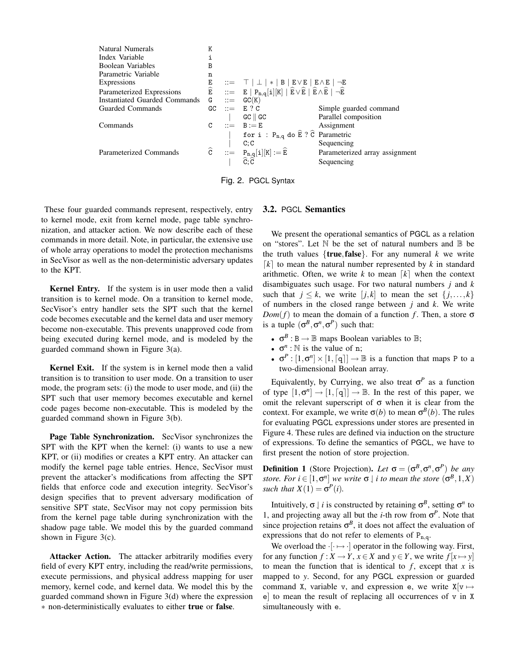| Natural Numerals                                                     | K              |                     |                                                                                                          |                                |
|----------------------------------------------------------------------|----------------|---------------------|----------------------------------------------------------------------------------------------------------|--------------------------------|
| Index Variable                                                       | i              |                     |                                                                                                          |                                |
| Boolean Variables                                                    | B              |                     |                                                                                                          |                                |
| Parameterized Expressions                                            | E              | $:=$                | $\top$   $\bot$   $\ast$   $\mathbf{E} \vee \mathbf{E}$   $\mathbf{E} \wedge \mathbf{E}$   $-\mathbf{E}$ |                                |
| Parameterized Expressions                                            | $\hat{E}$      | $:=$                | $\mathbf{E} \mid P_{n,q}[i][K]   \hat{E} \vee \hat{E}   \hat{E} \wedge \hat{E}  $ $-\hat{E}$             |                                |
| Instantiated Guarded Commands                                        | $G$            | $:=$                | $\mathbf{E} \circ C$                                                                                     | Simple guarded command         |
| Commands                                                             | $G$            | $:=$                | $\mathbf{E} \circ C$                                                                                     | Simple guarded command         |
| Commands                                                             | $G$            | $:=$                | $\mathbf{E} \circ C$                                                                                     | Assignment                     |
| Commands                                                             | $G$            | $:=$                | $\mathbf{B} := \mathbf{E}$                                                                               | Assignment                     |
| for i : $P_{n,q}$ do $\hat{E}$ ? $\hat{C}$ Parametric<br>Sequenceing |                |                     |                                                                                                          |                                |
| Parameterized Commons                                                | $\hat{C}$      | $:=$                | $P_{n,q}[i][K] := \hat{E}$                                                                               | Parameterized array assignment |
| Parameterized array assignment                                       | $\hat{C}$ $:=$ | $\hat{C}$ $\hat{C}$ | Sequenceing                                                                                              |                                |

Fig. 2. PGCL Syntax

These four guarded commands represent, respectively, entry to kernel mode, exit from kernel mode, page table synchronization, and attacker action. We now describe each of these commands in more detail. Note, in particular, the extensive use of whole array operations to model the protection mechanisms in SecVisor as well as the non-deterministic adversary updates to the KPT.

Kernel Entry. If the system is in user mode then a valid transition is to kernel mode. On a transition to kernel mode, SecVisor's entry handler sets the SPT such that the kernel code becomes executable and the kernel data and user memory become non-executable. This prevents unapproved code from being executed during kernel mode, and is modeled by the guarded command shown in Figure 3(a).

Kernel Exit. If the system is in kernel mode then a valid transition is to transition to user mode. On a transition to user mode, the program sets: (i) the mode to user mode, and (ii) the SPT such that user memory becomes executable and kernel code pages become non-executable. This is modeled by the guarded command shown in Figure 3(b).

Page Table Synchronization. SecVisor synchronizes the SPT with the KPT when the kernel: (i) wants to use a new KPT, or (ii) modifies or creates a KPT entry. An attacker can modify the kernel page table entries. Hence, SecVisor must prevent the attacker's modifications from affecting the SPT fields that enforce code and execution integrity. SecVisor's design specifies that to prevent adversary modification of sensitive SPT state, SecVisor may not copy permission bits from the kernel page table during synchronization with the shadow page table. We model this by the guarded command shown in Figure 3(c).

Attacker Action. The attacker arbitrarily modifies every field of every KPT entry, including the read/write permissions, execute permissions, and physical address mapping for user memory, kernel code, and kernel data. We model this by the guarded command shown in Figure 3(d) where the expression ∗ non-deterministically evaluates to either true or false.

# 3.2. PGCL Semantics

We present the operational semantics of PGCL as a relation on "stores". Let  $\mathbb N$  be the set of natural numbers and  $\mathbb B$  be the truth values  $\{true, false\}$ . For any numeral *k* we write  $\lfloor k \rfloor$  to mean the natural number represented by k in standard arithmetic. Often, we write  $k$  to mean  $\lceil k \rceil$  when the context disambiguates such usage. For two natural numbers *j* and *k* such that  $j \leq k$ , we write  $[j, k]$  to mean the set  $\{j, \ldots, k\}$ of numbers in the closed range between *j* and *k*. We write  $Dom(f)$  to mean the domain of a function *f*. Then, a store  $\sigma$ is a tuple  $(\sigma^B, \sigma^n, \sigma^P)$  such that:

- $\sigma^B : \mathbb{B} \to \mathbb{B}$  maps Boolean variables to  $\mathbb{B}$ ;
- $\bullet$   $\sigma^n : \mathbb{N}$  is the value of n;
- $\sigma^P : [1, \sigma^n] \times [1, \lceil q \rceil] \rightarrow \mathbb{B}$  is a function that maps P to a two-dimensional Boolean array.

Equivalently, by Currying, we also treat  $\sigma^P$  as a function of type  $[1, \sigma^n] \rightarrow [1, \lceil q \rceil] \rightarrow \mathbb{B}$ . In the rest of this paper, we omit the relevant superscript of  $\sigma$  when it is clear from the context. For example, we write  $\sigma(b)$  to mean  $\sigma^B(b)$ . The rules for evaluating PGCL expressions under stores are presented in Figure 4. These rules are defined via induction on the structure of expressions. To define the semantics of PGCL, we have to first present the notion of store projection.

**Definition 1** (Store Projection). *Let*  $\sigma = (\sigma^B, \sigma^n, \sigma^P)$  *be any store. For*  $i \in [1, \sigma^n]$  *we write*  $\sigma \downharpoonright i$  *to mean the store*  $(\sigma^B, 1, X)$ *such that*  $X(1) = \sigma^P(i)$ *.* 

Intuitively,  $\sigma \mid i$  is constructed by retaining  $\sigma^B$ , setting  $\sigma^n$  to 1, and projecting away all but the *i*-th row from  $\sigma^P$ . Note that since projection retains  $\sigma^B$ , it does not affect the evaluation of expressions that do not refer to elements of  $P_{n,q}$ .

We overload the  $\cdot[\cdot \mapsto \cdot]$  operator in the following way. First, for any function  $f: X \to Y$ ,  $x \in X$  and  $y \in Y$ , we write  $f[x \mapsto y]$ to mean the function that is identical to  $f$ , except that  $x$  is mapped to *y*. Second, for any PGCL expression or guarded command X, variable v, and expression e, we write  $X[v \mapsto$ e] to mean the result of replacing all occurrences of v in X simultaneously with e.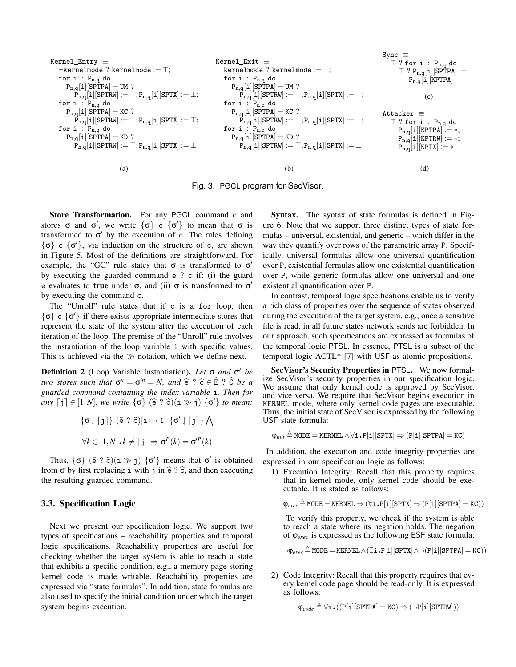Kernel Entry ≡ ¬kernelmode ? kernelmode := ⊤; for i : Pn,<sup>q</sup> do Pn,q[i][SPTPA] = UM ? Pn,q[i][SPTRW] := ⊤;Pn,q[i][SPTX] := ⊥; for i : Pn,<sup>q</sup> do Pn,q[i][SPTPA] = KC ? Pn,q[i][SPTRW] := ⊥;Pn,q[i][SPTX] := ⊤; for i : Pn,<sup>q</sup> do Pn,q[i][SPTPA] = KD ? Pn,q[i][SPTRW] := ⊤;Pn,q[i][SPTX] := ⊥ Kernel Exit ≡ kernelmode ? kernelmode := ⊥; for i : Pn,<sup>q</sup> do Pn,q[i][SPTPA] = UM ? Pn,q[i][SPTRW] := ⊤;Pn,q[i][SPTX] := ⊤; for i : Pn,<sup>q</sup> do Pn,q[i][SPTPA] = KC ? Pn,q[i][SPTRW] := ⊥;Pn,q[i][SPTX] := ⊥; for i : Pn,<sup>q</sup> do Pn,q[i][SPTPA] = KD ? Pn,q[i][SPTRW] := ⊤;Pn,q[i][SPTX] := ⊥ Sync ≡ ⊤ ? for i : Pn,<sup>q</sup> do ⊤ ? Pn,q[i][SPTPA] := Pn,q[i][KPTPA] (c) Attacker ≡ ⊤ ? for i : Pn,<sup>q</sup> do Pn,q[i][KPTPA] := ∗; Pn,q[i][KPTRW] := ∗; Pn,q[i][KPTX] := ∗ (a) (b) (d)

Fig. 3. PGCL program for SecVisor.

Store Transformation. For any PGCL command c and stores  $\sigma$  and  $\sigma'$ , we write  $\{\sigma\}$  c  $\{\sigma'\}$  to mean that  $\sigma$  is transformed to  $\sigma'$  by the execution of c. The rules defining  $\{\sigma\}$  c  $\{\sigma'\}$ , via induction on the structure of c, are shown in Figure 5. Most of the definitions are straightforward. For example, the "GC" rule states that  $\sigma$  is transformed to  $\sigma'$ by executing the guarded command e ? c if: (i) the guard e evaluates to true under  $\sigma$ , and (ii)  $\sigma$  is transformed to  $\sigma'$ by executing the command c.

The "Unroll" rule states that if c is a for loop, then  $\{\sigma\}$  c  $\{\sigma'\}$  if there exists appropriate intermediate stores that represent the state of the system after the execution of each iteration of the loop. The premise of the "Unroll" rule involves the instantiation of the loop variable i with specific values. This is achieved via the ≫ notation, which we define next.

Definition 2 (Loop Variable Instantiation). *Let* σ *and* σ ′ *be two stores such that*  $\sigma^n = \sigma^m = N$ *, and*  $\hat{\mathbf{e}}$  ?  $\hat{\mathbf{c}} \in \hat{\mathbf{E}}$  ?  $\hat{\mathbf{c}}$  *be a guarded command containing the index variable* i*. Then for*  $\alpha$ *any*  $[j] \in [1, N]$ *, we write*  $\{\sigma\}$  ( $\hat{\epsilon}$  ?  $\hat{\epsilon}$ )( $i \gg j$ )  $\{\sigma'\}$  *to mean:* 

$$
\{\sigma \mid [j]\}\ (\widehat{e} \ ? \widehat{c})[i \mapsto 1] \ {\sigma' \mid [j]\} \bigwedge
$$

$$
\forall k \in [1, N] \cdot k \neq [j] \Rightarrow \sigma^P(k) = \sigma^P(k)
$$

Thus,  $\{\sigma\}$  ( $\hat{\epsilon}$  ?  $\hat{\epsilon}$ )( $i \gg j$ )  $\{\sigma'\}$  means that  $\sigma'$  is obtained from  $\sigma$  by first replacing i with j in  $\hat{e}$  ?  $\hat{c}$ , and then executing the resulting guarded command.

#### 3.3. Specification Logic

Next we present our specification logic. We support two types of specifications – reachability properties and temporal logic specifications. Reachability properties are useful for checking whether the target system is able to reach a state that exhibits a specific condition, e.g., a memory page storing kernel code is made writable. Reachability properties are expressed via "state formulas". In addition, state formulas are also used to specify the initial condition under which the target system begins execution.

Syntax. The syntax of state formulas is defined in Figure 6. Note that we support three distinct types of state formulas – universal, existential, and generic – which differ in the way they quantify over rows of the parametric array P. Specifically, universal formulas allow one universal quantification over P, existential formulas allow one existential quantification over P, while generic formulas allow one universal and one existential quantification over P.

In contrast, temporal logic specifications enable us to verify a rich class of properties over the sequence of states observed during the execution of the target system, e.g., once a sensitive file is read, in all future states network sends are forbidden. In our approach, such specifications are expressed as formulas of the temporal logic PTSL. In essence, PTSL is a subset of the temporal logic ACTL\* [7] with USF as atomic propositions.

SecVisor's Security Properties in PTSL. We now formalize SecVisor's security properties in our specification logic. We assume that only kernel code is approved by SecVisor, and vice versa. We require that SecVisor begins execution in KERNEL mode, where only kernel code pages are executable. Thus, the initial state of SecVisor is expressed by the following USF state formula:

$$
\phi_{init} \triangleq \mathtt{MODE} = \mathtt{KERNEL} \wedge \forall \mathtt{i. P[i][SPTX]} \Rightarrow (\mathtt{P[i][SPTPA]} = \mathtt{KC})
$$

In addition, the execution and code integrity properties are expressed in our specification logic as follows:

1) Execution Integrity: Recall that this property requires that in kernel mode, only kernel code should be executable. It is stated as follows:

$$
\phi_{\textit{exec}} \triangleq \texttt{MODE} = \texttt{KERNEL} \Rightarrow (\forall \texttt{i.P[i][SPTX]} \Rightarrow (\texttt{P[i][SPTPA]} = \texttt{KC}))
$$

To verify this property, we check if the system is able to reach a state where its negation holds. The negation of ϕ*exec* is expressed as the following ESF state formula:

$$
\neg \phi_{exec} \triangleq \mathtt{MODE} = \mathtt{KERNEL} \land (\exists \mathtt{i} \centerdot \mathtt{P}[\mathtt{i}][\mathtt{SPTX}] \land \neg (\mathtt{P}[\mathtt{i}][\mathtt{SPTPA}] = \mathtt{KC}))
$$

2) Code Integrity: Recall that this property requires that every kernel code page should be read-only. It is expressed as follows:

$$
\varphi_{code} \triangleq \forall \mathtt{i}.((\mathtt{P}[\mathtt{i}][\mathtt{SPTPA}] = \mathtt{KC}) \Rightarrow (\neg \mathtt{P}[\mathtt{i}][\mathtt{SPTRW}]))
$$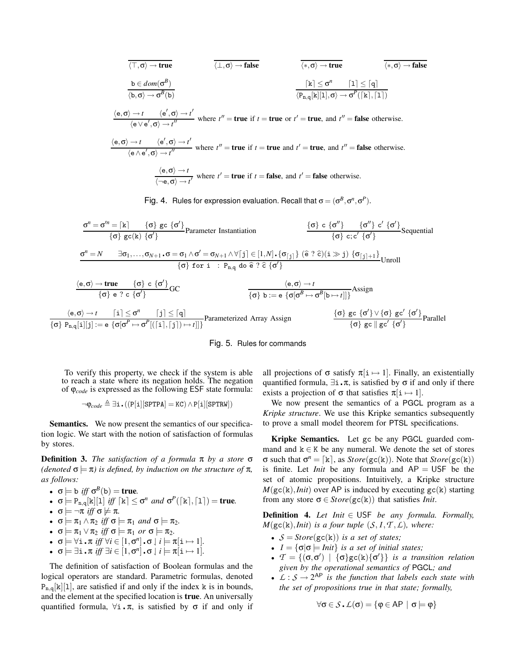$$
\frac{\langle \top, \sigma \rangle \to \text{true}}{\langle \top, \sigma \rangle \to \text{false}} \qquad \frac{\langle \bot, \sigma \rangle \to \text{false}}{\langle *, \sigma \rangle \to \text{true}} \qquad \frac{\langle *, \sigma \rangle \to \text{true}}{\langle *, \sigma \rangle \to \text{false}}
$$
\n
$$
\frac{b \in dom(\sigma^B)}{\langle b, \sigma \rangle \to \sigma^B(b)} \qquad \frac{[k] \leq \sigma^n \qquad [1] \leq [q]}{\langle p_{n,q}[k][1], \sigma \rangle \to \sigma^C([k], [1])}
$$
\n
$$
\frac{\langle e, \sigma \rangle \to t \qquad \langle e', \sigma \rangle \to t'}{\langle e \lor e', \sigma \rangle \to t''} \text{ where } t'' = \text{true if } t = \text{true or } t' = \text{true, and } t'' = \text{false otherwise.}
$$
\n
$$
\frac{\langle e, \sigma \rangle \to t \qquad \langle e', \sigma \rangle \to t''}{\langle -e, \sigma \rangle \to t''} \text{ where } t'' = \text{true if } t = \text{true and } t' = \text{true, and } t'' = \text{false otherwise.}
$$
\n
$$
\frac{\langle e, \sigma \rangle \to t}{\langle -e, \sigma \rangle \to t''} \text{ where } t' = \text{true if } t = \text{false, and } t' = \text{false otherwise.}
$$
\n
$$
\frac{\sigma^n = \sigma^n = [k] \qquad \{\sigma\} \text{ g} \in \{\sigma'\}}{\{\sigma\} \text{ g} \in \{\sigma'\}} \text{parameter Instantiation} \qquad \frac{\{\sigma\} \in \{\sigma''\} \quad \{\sigma''\} \circ t' \quad \{\sigma'\}}{\{\sigma\} \text{ s-cy}} \text{Sequenceial}
$$
\n
$$
\frac{\sigma^n = N \qquad \exists \sigma_1, \dots, \sigma_{N+1}, \sigma = \sigma_1 \land \sigma' = \sigma_{N+1} \land \forall [j] \in [1, N], \{\sigma_{[j]}\} \quad (\hat{e}, \hat{e}) \in \{\sigma'\} \text{ s}}{\{\sigma\} \text{ for } i : P_{n,q} \text{ do } \hat{e} \in \{\sigma'\}} \text{ (else } \sigma \text{ is the same})$.
$$
\n
$$
\frac{\langle e, \sigma \rangle \to \text{true} \quad \{\sigma\} \text{
$$

Fig. 5. Rules for commands

To verify this property, we check if the system is able to reach a state where its negation holds. The negation of ϕ*code* is expressed as the following ESF state formula:

$$
\neg \phi_{code} \triangleq \exists i . ((P[i][SPTPA] = KC) \land P[i][SPTRW])
$$

Semantics. We now present the semantics of our specification logic. We start with the notion of satisfaction of formulas by stores.

Definition 3. *The satisfaction of a formula* π *by a store* σ *(denoted*  $\sigma = \pi$ *) is defined, by induction on the structure of*  $\pi$ *, as follows:*

- $\sigma \models b \text{ iff } \sigma^B(b) = \text{true}.$
- $\bullet \ \sigma \models P_{n,q}[k][1]$  *iff*  $\lceil k \rceil \leq \sigma^n$  and  $\sigma^P(\lceil k \rceil, \lceil 1 \rceil) =$  true.
- $σ$  $\models \neg π$  *iff*  $σ$  $\not\models π$ .

 $\{\sigma\}$  P<sub>n,q</sub>[i]

- $\sigma \models \pi_1 \wedge \pi_2$  *iff*  $\sigma \models \pi_1$  *and*  $\sigma \models \pi_2$ *.*
- $\sigma$   $\models \pi_1 \vee \pi_2$  *iff*  $\sigma$   $\models \pi_1$  *or*  $\sigma$   $\models \pi_2$ *.*
- $\bullet$   $\sigma \models \forall i \cdot \pi \text{ iff } \forall i \in [1, \sigma^n] \cdot \sigma \downarrow i \models \pi[i \mapsto 1].$
- $\bullet \ \sigma \models \exists i \, \ldotp \pi \ \text{iff} \ \exists i \in [1, \sigma^n] \, \ldotp \sigma \downarrow i \models \pi[i \mapsto 1].$

The definition of satisfaction of Boolean formulas and the logical operators are standard. Parametric formulas, denoted  $P_{n,q}[k][1]$ , are satisfied if and only if the index k is in bounds, and the element at the specified location is true. An universally quantified formula,  $\forall i \cdot \pi$ , is satisfied by  $\sigma$  if and only if all projections of  $\sigma$  satisfy  $\pi[i \mapsto 1]$ . Finally, an existentially quantified formula,  $\exists i \cdot \pi$ , is satisfied by  $\sigma$  if and only if there exists a projection of  $\sigma$  that satisfies  $\pi[i \mapsto 1]$ .

We now present the semantics of a PGCL program as a *Kripke structure*. We use this Kripke semantics subsequently to prove a small model theorem for PTSL specifications.

Kripke Semantics. Let gc be any PGCL guarded command and  $k \in K$  be any numeral. We denote the set of stores  $\sigma$  such that  $\sigma^n = [\kappa]$ , as  $Store(gc(k))$ . Note that  $Store(gc(k))$ is finite. Let *Init* be any formula and  $AP = USE$  be the set of atomic propositions. Intuitively, a Kripke structure  $M(gc(k),Init)$  over AP is induced by executing  $gc(k)$  starting from any store  $\sigma \in \text{Store}(\text{gc}(k))$  that satisfies *Init*.

Definition 4. *Let Init* ∈ USF *be any formula. Formally,*  $M(\text{gc}(k),Init)$  *is a four tuple*  $(S, I, T, L)$ *, where:* 

- $S = Store(gc(k))$  *is a set of states;*
- $I = \{\sigma | \sigma \models Init\}$  *is a set of initial states;*
- $T = \{ (\sigma, \sigma') | \{ \sigma \} g c(k) {\sigma'} \}$  *is a transition relation given by the operational semantics of* PGCL*; and*
- $L: S \rightarrow 2^{AP}$  *is the function that labels each state with the set of propositions true in that state; formally,*

$$
\forall \sigma \in \mathcal{S} \centerdot \mathcal{L}(\sigma) = \{\phi \in AP \mid \sigma \models \phi\}
$$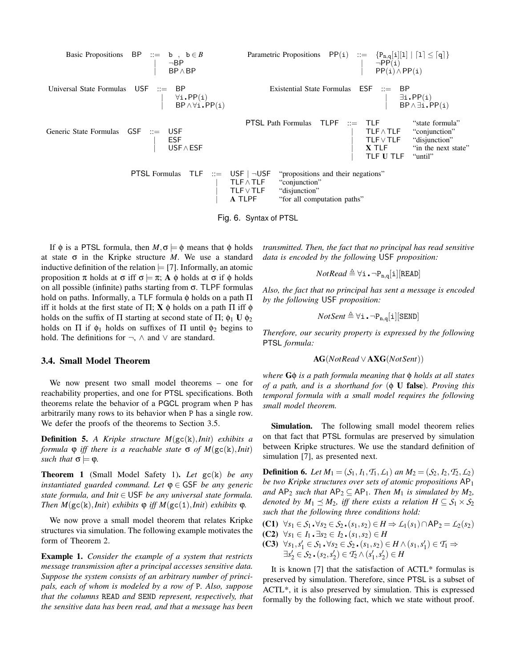Basic Propositions BP  $::= b , b \in B$  $\neg BP$ | BP∧BP Parametric Propositions  $PP(i) ::= \{P_{n,q}[i][1] | [1] \leq [q]\}$  $\neg PP(i)$  $PP(i) \wedge PP(i)$ Universal State Formulas USF ::= BP  $\forall i.PP(i)$  $BP \wedge \forall i.PP(i)$ Existential State Formulas ESF ::= BP  $\exists i.PP(i)$  $BP \wedge \exists i.PP(i)$ Generic State Formulas GSF ::= USF | ESF | USF∧ESF PTSL Path Formulas TLPF ::= TLF "state formula" | TLF∧TLF "conjunction" | TLF∨TLF "disjunction" **X** TLF "in the next state" TLF U TLF "until" **PTSL** Formulas  $TLF ::= USF | \neg USF$  "propositions and their negations" | TLF∧TLF "conjunction" TLF∨TLF "disjunction"<br> **A TLPF** "for all comp "for all computation paths"

Fig. 6. Syntax of PTSL

If  $\phi$  is a PTSL formula, then *M*,  $\sigma \models \phi$  means that  $\phi$  holds at state σ in the Kripke structure *M*. We use a standard inductive definition of the relation  $\models$  [7]. Informally, an atomic proposition  $\pi$  holds at  $\sigma$  iff  $\sigma \models \pi$ ; A  $\phi$  holds at  $\sigma$  if  $\phi$  holds on all possible (infinite) paths starting from σ. TLPF formulas hold on paths. Informally, a TLF formula  $\phi$  holds on a path  $\Pi$ iff it holds at the first state of  $\Pi$ ;  $X \phi$  holds on a path  $\Pi$  iff  $\phi$ holds on the suffix of  $\Pi$  starting at second state of  $\Pi$ ;  $\phi_1 \mathbf{U} \phi_2$ holds on  $\Pi$  if  $\phi_1$  holds on suffixes of  $\Pi$  until  $\phi_2$  begins to hold. The definitions for  $\neg$ ,  $\wedge$  and  $\vee$  are standard.

# 3.4. Small Model Theorem

We now present two small model theorems – one for reachability properties, and one for PTSL specifications. Both theorems relate the behavior of a PGCL program when P has arbitrarily many rows to its behavior when P has a single row. We defer the proofs of the theorems to Section 3.5.

Definition 5. *A Kripke structure M*(gc(k),*Init*) *exhibits a formula*  $\varphi$  *iff there is a reachable state*  $\sigma$  *of*  $M(\text{gc}(k), Int)$ *such that*  $\sigma \models \varphi$ *.* 

Theorem 1 (Small Model Safety 1). *Let* gc(k) *be any instantiated guarded command. Let* ϕ ∈ GSF *be any generic state formula, and Init* ∈ USF *be any universal state formula. Then*  $M(\text{gc}(k),Init)$  *exhibits*  $\varphi$  *iff*  $M(\text{gc}(1),Init)$  *exhibits*  $\varphi$ *.* 

We now prove a small model theorem that relates Kripke structures via simulation. The following example motivates the form of Theorem 2.

Example 1. *Consider the example of a system that restricts message transmission after a principal accesses sensitive data. Suppose the system consists of an arbitrary number of principals, each of whom is modeled by a row of* P*. Also, suppose that the columns* READ *and* SEND *represent, respectively, that the sensitive data has been read, and that a message has been* *transmitted. Then, the fact that no principal has read sensitive data is encoded by the following* USF *proposition:*

$$
NotRead \triangleq \forall \mathtt{i.} \neg \mathtt{P}_{\mathtt{n},\mathtt{q}}[\mathtt{i}][\mathtt{READ}]
$$

*Also, the fact that no principal has sent a message is encoded by the following* USF *proposition:*

$$
NotSent \triangleq \forall \mathtt{i.} \neg \mathtt{P}_{\mathtt{n},\mathtt{q}}[\mathtt{i}][\mathtt{SEND}]
$$

*Therefore, our security property is expressed by the following* PTSL *formula:*

$$
AG(NotRead \vee AXG(NotSent))
$$

*where* Gφ *is a path formula meaning that* φ *holds at all states of a path, and is a shorthand for* (φ U false)*. Proving this temporal formula with a small model requires the following small model theorem.*

Simulation. The following small model theorem relies on that fact that PTSL formulas are preserved by simulation between Kripke structures. We use the standard definition of simulation [7], as presented next.

**Definition 6.** Let  $M_1 = (S_1, I_1, T_1, L_1)$  *an*  $M_2 = (S_2, I_2, T_2, L_2)$ *be two Kripke structures over sets of atomic propositions* AP<sup>1</sup> *and*  $AP_2$  *such that*  $AP_2 \subseteq AP_1$ *. Then*  $M_1$  *is simulated by*  $M_2$ *, denoted by*  $M_1 \preceq M_2$ , *iff there exists a relation*  $H \subseteq S_1 \times S_2$ *such that the following three conditions hold:*

(C1) <sup>∀</sup>*s*<sup>1</sup> <sup>∈</sup> *<sup>S</sup>*<sup>1</sup> ∀*s*<sup>2</sup> <sup>∈</sup> *<sup>S</sup>*<sup>2</sup> (*s*1,*s*2) <sup>∈</sup> *<sup>H</sup>* <sup>⇒</sup> *<sup>L</sup>*1(*s*1)∩AP<sup>2</sup> <sup>=</sup> *<sup>L</sup>*2(*s*2)

- (C2)  $\forall s_1 \in I_1 \cdot \exists s_2 \in I_2 \cdot (s_1, s_2) \in H$
- (C3)  $\forall s_1, s'_1 \in S_1 \cdot \forall s_2 \in S_2 \cdot (s_1, s_2) \in H \wedge (s_1, s'_1) \in T_1 \Rightarrow$  $\exists s_2' \in S_2 \cdot (s_2, s_2') \in T_2 \wedge (s_1', s_2') \in H$

It is known [7] that the satisfaction of ACTL\* formulas is preserved by simulation. Therefore, since PTSL is a subset of ACTL\*, it is also preserved by simulation. This is expressed formally by the following fact, which we state without proof.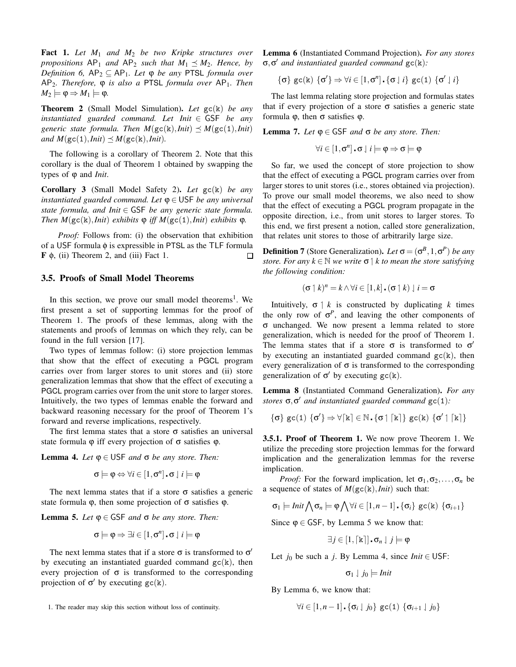Fact 1. *Let M*<sup>1</sup> *and M*<sup>2</sup> *be two Kripke structures over propositions*  $AP_1$  *and*  $AP_2$  *such that*  $M_1 \preceq M_2$ *. Hence, by Definition 6,*  $AP_2 \subseteq AP_1$ *. Let*  $\varphi$  *be any* PTSL *formula over* AP2*. Therefore,* ϕ *is also a* PTSL *formula over* AP1*. Then*  $M_2 \models \varphi \Rightarrow M_1 \models \varphi$ .

Theorem 2 (Small Model Simulation). *Let* gc(k) *be any instantiated guarded command. Let Init* ∈ GSF *be any generic state formula. Then*  $M(\text{gc}(k),Init) \preceq M(\text{gc}(1),Init)$ *and*  $M(\text{gc}(1),Init) \preceq M(\text{gc}(k),Init)$ *.* 

The following is a corollary of Theorem 2. Note that this corollary is the dual of Theorem 1 obtained by swapping the types of ϕ and *Init*.

Corollary 3 (Small Model Safety 2). *Let* gc(k) *be any instantiated guarded command. Let* ϕ ∈ USF *be any universal state formula, and Init* ∈ GSF *be any generic state formula. Then*  $M(\text{gc}(k),Init)$  *exhibits*  $\varphi$  *iff*  $M(\text{gc}(1),Init)$  *exhibits*  $\varphi$ *.* 

*Proof:* Follows from: (i) the observation that exhibition of a USF formula φ is expressible in PTSL as the TLF formula  $\mathbf{F}$   $\phi$ , (ii) Theorem 2, and (iii) Fact 1.  $\overline{\phantom{a}}$ 

# 3.5. Proofs of Small Model Theorems

In this section, we prove our small model theorems<sup>1</sup>. We first present a set of supporting lemmas for the proof of Theorem 1. The proofs of these lemmas, along with the statements and proofs of lemmas on which they rely, can be found in the full version [17].

Two types of lemmas follow: (i) store projection lemmas that show that the effect of executing a PGCL program carries over from larger stores to unit stores and (ii) store generalization lemmas that show that the effect of executing a PGCL program carries over from the unit store to larger stores. Intuitively, the two types of lemmas enable the forward and backward reasoning necessary for the proof of Theorem 1's forward and reverse implications, respectively.

The first lemma states that a store  $\sigma$  satisfies an universal state formula  $\varphi$  iff every projection of  $\sigma$  satisfies  $\varphi$ .

**Lemma 4.** *Let*  $φ ∈ \text{USE}$  *and*  $σ$  *be any store. Then:* 

$$
\sigma \models \varphi \Leftrightarrow \forall i \in [1, \sigma^n] \cdot \sigma \downharpoonleft i \models \varphi
$$

The next lemma states that if a store  $\sigma$  satisfies a generic state formula  $\varphi$ , then some projection of  $\sigma$  satisfies  $\varphi$ .

**Lemma 5.** *Let*  $φ ∈ GSF$  *and*  $σ$  *be any store. Then:* 

$$
\sigma \models \varphi \Rightarrow \exists i \in [1, \sigma^n] \cdot \sigma \downharpoonleft i \models \varphi
$$

The next lemma states that if a store  $\sigma$  is transformed to  $\sigma'$ by executing an instantiated guarded command  $gc(k)$ , then every projection of  $\sigma$  is transformed to the corresponding projection of  $\sigma'$  by executing  $gc(k)$ .

Lemma 6 (Instantiated Command Projection). *For any stores* σ,σ ′ *and instantiated guarded command* gc(k)*:*

$$
\{\sigma\} \text{ gc(k)} \{\sigma'\} \Rightarrow \forall i \in [1, \sigma^n] \cdot \{\sigma \mid i\} \text{ gc(1)} \{\sigma' \mid i\}
$$

The last lemma relating store projection and formulas states that if every projection of a store  $\sigma$  satisfies a generic state formula ϕ, then σ satisfies ϕ.

**Lemma 7.** *Let*  $φ ∈ GSF$  *and*  $σ$  *be any store. Then:* 

$$
\forall i \in [1, \sigma^n] \cdot \sigma \mid i \models \varphi \Rightarrow \sigma \models \varphi
$$

So far, we used the concept of store projection to show that the effect of executing a PGCL program carries over from larger stores to unit stores (i.e., stores obtained via projection). To prove our small model theorems, we also need to show that the effect of executing a PGCL program propagate in the opposite direction, i.e., from unit stores to larger stores. To this end, we first present a notion, called store generalization, that relates unit stores to those of arbitrarily large size.

**Definition 7** (Store Generalization). Let  $\sigma = (\sigma^B, 1, \sigma^P)$  be any *store. For any*  $k \in \mathbb{N}$  *we write*  $\sigma$  | *k to mean the store satisfying the following condition:*

$$
(\sigma \upharpoonright k)^n = k \wedge \forall i \in [1, k] \cdot (\sigma \upharpoonright k) \downharpoonleft i = \sigma
$$

Intuitively,  $\sigma \upharpoonright k$  is constructed by duplicating *k* times the only row of  $\sigma^P$ , and leaving the other components of σ unchanged. We now present a lemma related to store generalization, which is needed for the proof of Theorem 1. The lemma states that if a store  $\sigma$  is transformed to  $\sigma'$ by executing an instantiated guarded command  $gc(k)$ , then every generalization of  $\sigma$  is transformed to the corresponding generalization of  $\sigma'$  by executing  $gc(k)$ .

Lemma 8 (Instantiated Command Generalization). *For any stores* σ,σ ′ *and instantiated guarded command* gc(1)*:*

$$
\{\sigma\} \text{ gc}(1) \; \{\sigma'\} \Rightarrow \forall [k] \in \mathbb{N} \text{.} \{\sigma \upharpoonright [k]\} \; \text{gc}(k) \; \{\sigma' \upharpoonright [k]\}
$$

3.5.1. Proof of Theorem 1. We now prove Theorem 1. We utilize the preceding store projection lemmas for the forward implication and the generalization lemmas for the reverse implication.

*Proof:* For the forward implication, let  $\sigma_1, \sigma_2, \ldots, \sigma_n$  be a sequence of states of  $M(\text{gc}(k),Init)$  such that:

$$
\sigma_1 \models \textit{Init} \bigwedge \sigma_n \models \varphi \bigwedge \forall i \in [1, n-1] \cdot \{\sigma_i\} \text{ gc(k)} \{\sigma_{i+1}\}\
$$

Since  $\varphi \in \text{GSF}$ , by Lemma 5 we know that:

 $\exists j \in [1, \lceil k \rceil] \cdot \sigma_n \mid j \models \varphi$ 

Let  $j_0$  be such a  $j$ . By Lemma 4, since  $Init \in \text{USF}:$ 

$$
\sigma_1 \downharpoonleft j_0 \models \textit{Init}
$$

By Lemma 6, we know that:

$$
\forall i \in [1, n-1] \cdot \{\sigma_i \mid j_0\} \text{ gc}(1) \{\sigma_{i+1} \mid j_0\}
$$

<sup>1.</sup> The reader may skip this section without loss of continuity.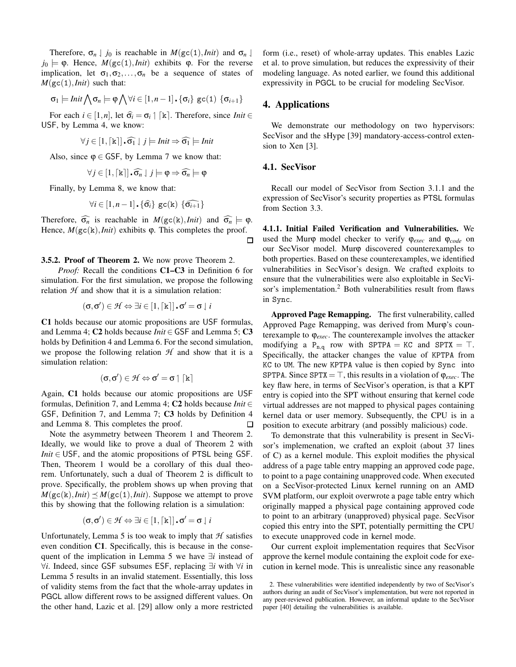Therefore,  $\sigma_n$   $\downarrow$  *j*<sub>0</sub> is reachable in  $M(\text{gc}(1), \text{Init})$  and  $\sigma_n$  $j_0 \models \varphi$ . Hence,  $M(\text{gc}(1),Init)$  exhibits  $\varphi$ . For the reverse implication, let  $\sigma_1, \sigma_2, \ldots, \sigma_n$  be a sequence of states of  $M(\text{gc}(1),\text{Init})$  such that:

$$
\sigma_1 \models \textit{Init} \bigwedge \sigma_n \models \varphi \bigwedge \forall i \in [1, n-1] \cdot \{\sigma_i\} \text{ gc}(1) \{\sigma_{i+1}\}\
$$

For each  $i \in [1, n]$ , let  $\hat{\sigma}_i = \sigma_i \mid [k]$ . Therefore, since *Init* ∈ USF, by Lemma 4, we know:

$$
\forall j \in [1, \lceil k \rceil] \cdot \widehat{\sigma_1} \downharpoonright j \models \textit{Init} \Rightarrow \widehat{\sigma_1} \models \textit{Init}
$$

Also, since  $\varphi \in GSF$ , by Lemma 7 we know that:

$$
\forall j \in [1, \lceil \mathbf{k} \rceil] \cdot \widehat{\sigma_n} \mid j \models \varphi \Rightarrow \widehat{\sigma_n} \models \varphi
$$

Finally, by Lemma 8, we know that:

$$
\forall i \in [1, n-1] \cdot \{\widehat{\sigma_i}\} \text{ gc(k) } \{\widehat{\sigma_{i+1}}\}
$$

Therefore,  $\widehat{\sigma_n}$  is reachable in  $M(\text{gc}(k),Init)$  and  $\widehat{\sigma_n} \models \varphi$ . Hence,  $M(\text{gc}(k),Init)$  exhibits  $\varphi$ . This completes the proof.

#### 3.5.2. Proof of Theorem 2. We now prove Theorem 2.

*Proof:* Recall the conditions C1–C3 in Definition 6 for simulation. For the first simulation, we propose the following relation  $H$  and show that it is a simulation relation:

$$
(\sigma, \sigma') \in \mathcal{H} \Leftrightarrow \exists i \in [1, \lceil \mathbf{k} \rceil] \cdot \sigma' = \sigma \mid i
$$

C1 holds because our atomic propositions are USF formulas, and Lemma 4; C2 holds because *Init* ∈ GSF and Lemma 5; C3 holds by Definition 4 and Lemma 6. For the second simulation, we propose the following relation  $H$  and show that it is a simulation relation:

$$
(\sigma,\sigma')\in\mathcal{H} \Leftrightarrow \sigma'=\sigma\upharpoonleft\lceil\mathtt{k}\rceil
$$

Again, C1 holds because our atomic propositions are USF formulas, Definition 7, and Lemma 4; C2 holds because *Init* ∈ GSF, Definition 7, and Lemma 7; C3 holds by Definition 4 and Lemma 8. This completes the proof.  $\Box$ 

Note the asymmetry between Theorem 1 and Theorem 2. Ideally, we would like to prove a dual of Theorem 2 with *Init* ∈ USF, and the atomic propositions of PTSL being GSF. Then, Theorem 1 would be a corollary of this dual theorem. Unfortunately, such a dual of Theorem 2 is difficult to prove. Specifically, the problem shows up when proving that  $M(\text{gc}(k),Init) \preceq M(\text{gc}(1),Init)$ . Suppose we attempt to prove this by showing that the following relation is a simulation:

$$
(\sigma, \sigma') \in \mathcal{H} \Leftrightarrow \exists i \in [1, \lceil \mathbf{k} \rceil] \cdot \sigma' = \sigma \mid i
$$

Unfortunately, Lemma 5 is too weak to imply that  $H$  satisfies even condition C1. Specifically, this is because in the consequent of the implication in Lemma 5 we have ∃*i* instead of ∀*i*. Indeed, since GSF subsumes ESF, replacing ∃*i* with ∀*i* in Lemma 5 results in an invalid statement. Essentially, this loss of validity stems from the fact that the whole-array updates in PGCL allow different rows to be assigned different values. On the other hand, Lazic et al. [29] allow only a more restricted

form (i.e., reset) of whole-array updates. This enables Lazic et al. to prove simulation, but reduces the expressivity of their modeling language. As noted earlier, we found this additional expressivity in PGCL to be crucial for modeling SecVisor.

### 4. Applications

We demonstrate our methodology on two hypervisors: SecVisor and the sHype [39] mandatory-access-control extension to Xen [3].

# 4.1. SecVisor

Recall our model of SecVisor from Section 3.1.1 and the expression of SecVisor's security properties as PTSL formulas from Section 3.3.

4.1.1. Initial Failed Verification and Vulnerabilities. We used the Murϕ model checker to verify ϕ*exec* and ϕ*code* on our SecVisor model. Murϕ discovered counterexamples to both properties. Based on these counterexamples, we identified vulnerabilities in SecVisor's design. We crafted exploits to ensure that the vulnerabilities were also exploitable in SecVisor's implementation.<sup>2</sup> Both vulnerabilities result from flaws in Sync.

Approved Page Remapping. The first vulnerability, called Approved Page Remapping, was derived from Murϕ's counterexample to ϕ*exec*. The counterexample involves the attacker modifying a P<sub>n,q</sub> row with SPTPA = KC and SPTX =  $\top$ . Specifically, the attacker changes the value of KPTPA from KC to UM. The new KPTPA value is then copied by Sync into SPTPA. Since SPTX =  $\top$ , this results in a violation of  $\varphi_{exec}$ . The key flaw here, in terms of SecVisor's operation, is that a KPT entry is copied into the SPT without ensuring that kernel code virtual addresses are not mapped to physical pages containing kernel data or user memory. Subsequently, the CPU is in a position to execute arbitrary (and possibly malicious) code.

To demonstrate that this vulnerability is present in SecVisor's implemenation, we crafted an exploit (about 37 lines of C) as a kernel module. This exploit modifies the physical address of a page table entry mapping an approved code page, to point to a page containing unapproved code. When executed on a SecVisor-protected Linux kernel running on an AMD SVM platform, our exploit overwrote a page table entry which originally mapped a physical page containing approved code to point to an arbitrary (unapproved) physical page. SecVisor copied this entry into the SPT, potentially permitting the CPU to execute unapproved code in kernel mode.

Our current exploit implementation requires that SecVisor approve the kernel module containing the exploit code for execution in kernel mode. This is unrealistic since any reasonable

<sup>2.</sup> These vulnerabilities were identified independently by two of SecVisor's authors during an audit of SecVisor's implementation, but were not reported in any peer-reviewed publication. However, an informal update to the SecVisor paper [40] detailing the vulnerabilities is available.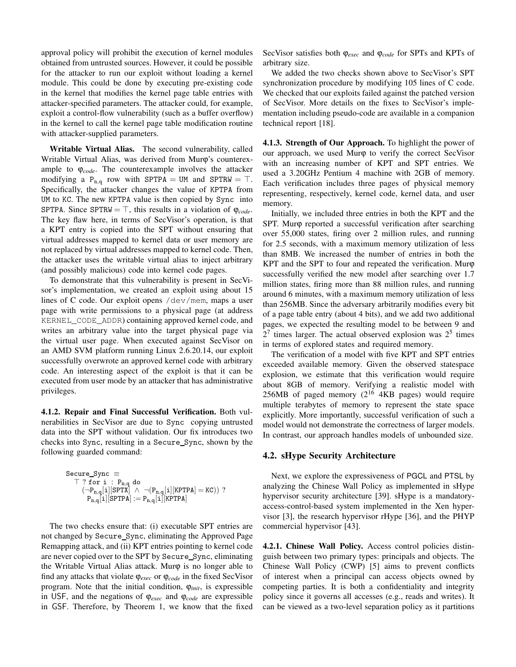approval policy will prohibit the execution of kernel modules obtained from untrusted sources. However, it could be possible for the attacker to run our exploit without loading a kernel module. This could be done by executing pre-existing code in the kernel that modifies the kernel page table entries with attacker-specified parameters. The attacker could, for example, exploit a control-flow vulnerability (such as a buffer overflow) in the kernel to call the kernel page table modification routine with attacker-supplied parameters.

Writable Virtual Alias. The second vulnerability, called Writable Virtual Alias, was derived from Murϕ's counterexample to ϕ*code*. The counterexample involves the attacker modifying a P<sub>n,q</sub> row with SPTPA = UM and SPTRW =  $\top$ . Specifically, the attacker changes the value of KPTPA from UM to KC. The new KPTPA value is then copied by Sync into SPTPA. Since SPTRW =  $\top$ , this results in a violation of  $\varphi_{code}$ . The key flaw here, in terms of SecVisor's operation, is that a KPT entry is copied into the SPT without ensuring that virtual addresses mapped to kernel data or user memory are not replaced by virtual addresses mapped to kernel code. Then, the attacker uses the writable virtual alias to inject arbitrary (and possibly malicious) code into kernel code pages.

To demonstrate that this vulnerability is present in SecVisor's implementation, we created an exploit using about 15 lines of C code. Our exploit opens /dev/mem, maps a user page with write permissions to a physical page (at address KERNEL\_CODE\_ADDR) containing approved kernel code, and writes an arbitrary value into the target physical page via the virtual user page. When executed against SecVisor on an AMD SVM platform running Linux 2.6.20.14, our exploit successfully overwrote an approved kernel code with arbitrary code. An interesting aspect of the exploit is that it can be executed from user mode by an attacker that has administrative privileges.

4.1.2. Repair and Final Successful Verification. Both vulnerabilities in SecVisor are due to Sync copying untrusted data into the SPT without validation. Our fix introduces two checks into Sync, resulting in a Secure Sync, shown by the following guarded command:

$$
\begin{array}{rl}\text{Secure\_Sync} & \equiv\\ & \top \ ? \ \text{for $i$ : P_{n,q}$ do \\ & (\neg P_{n,q}[i][\text{SPTX}] \ \wedge \ \neg (P_{n,q}[i][\text{KPTPA}] = \text{KC})) \ ? \\ & P_{n,q}[i][\text{SPTPA}] := P_{n,q}[i][\text{KPTPA}] \end{array}
$$

The two checks ensure that: (i) executable SPT entries are not changed by Secure Sync, eliminating the Approved Page Remapping attack, and (ii) KPT entries pointing to kernel code are never copied over to the SPT by Secure\_Sync, eliminating the Writable Virtual Alias attack. Murφ is no longer able to find any attacks that violate ϕ*exec* or ϕ*code* in the fixed SecVisor program. Note that the initial condition, ϕ*init*, is expressible in USF, and the negations of ϕ*exec* and ϕ*code* are expressible in GSF. Therefore, by Theorem 1, we know that the fixed SecVisor satisfies both ϕ*exec* and ϕ*code* for SPTs and KPTs of arbitrary size.

We added the two checks shown above to SecVisor's SPT synchronization procedure by modifying 105 lines of C code. We checked that our exploits failed against the patched version of SecVisor. More details on the fixes to SecVisor's implementation including pseudo-code are available in a companion technical report [18].

4.1.3. Strength of Our Approach. To highlight the power of our approach, we used Murϕ to verify the correct SecVisor with an increasing number of KPT and SPT entries. We used a 3.20GHz Pentium 4 machine with 2GB of memory. Each verification includes three pages of physical memory representing, respectively, kernel code, kernel data, and user memory.

Initially, we included three entries in both the KPT and the SPT. Murϕ reported a successful verification after searching over 55,000 states, firing over 2 million rules, and running for 2.5 seconds, with a maximum memory utilization of less than 8MB. We increased the number of entries in both the KPT and the SPT to four and repeated the verification. Muro successfully verified the new model after searching over 1.7 million states, firing more than 88 million rules, and running around 6 minutes, with a maximum memory utilization of less than 256MB. Since the adversary arbitrarily modifies every bit of a page table entry (about 4 bits), and we add two additional pages, we expected the resulting model to be between 9 and  $2<sup>7</sup>$  times larger. The actual observed explosion was  $2<sup>5</sup>$  times in terms of explored states and required memory.

The verification of a model with five KPT and SPT entries exceeded available memory. Given the observed statespace explosion, we estimate that this verification would require about 8GB of memory. Verifying a realistic model with 256MB of paged memory  $(2^{16}$  4KB pages) would require multiple terabytes of memory to represent the state space explicitly. More importantly, successful verification of such a model would not demonstrate the correctness of larger models. In contrast, our approach handles models of unbounded size.

### 4.2. sHype Security Architecture

Next, we explore the expressiveness of PGCL and PTSL by analyzing the Chinese Wall Policy as implemented in sHype hypervisor security architecture [39]. sHype is a mandatoryaccess-control-based system implemented in the Xen hypervisor [3], the research hypervisor rHype [36], and the PHYP commercial hypervisor [43].

4.2.1. Chinese Wall Policy. Access control policies distinguish between two primary types: principals and objects. The Chinese Wall Policy (CWP) [5] aims to prevent conflicts of interest when a principal can access objects owned by competing parties. It is both a confidentiality and integrity policy since it governs all accesses (e.g., reads and writes). It can be viewed as a two-level separation policy as it partitions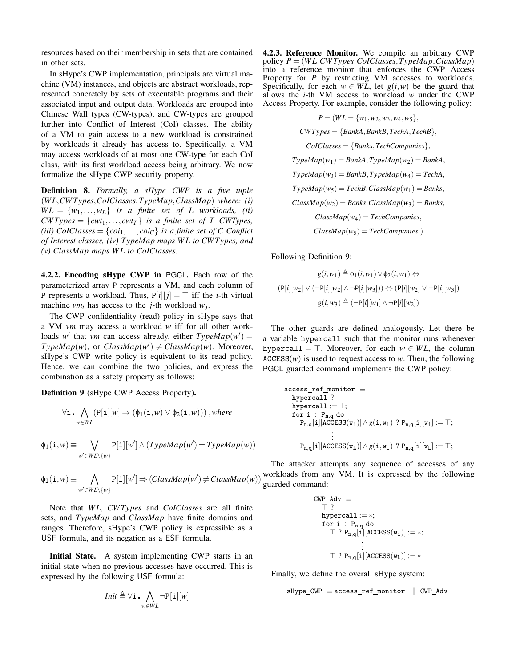resources based on their membership in sets that are contained in other sets.

In sHype's CWP implementation, principals are virtual machine (VM) instances, and objects are abstract workloads, represented concretely by sets of executable programs and their associated input and output data. Workloads are grouped into Chinese Wall types (CW-types), and CW-types are grouped further into Conflict of Interest (CoI) classes. The ability of a VM to gain access to a new workload is constrained by workloads it already has access to. Specifically, a VM may access workloads of at most one CW-type for each CoI class, with its first workload access being arbitrary. We now formalize the sHype CWP security property.

Definition 8. *Formally, a sHype CWP is a five tuple* (*W L*,*CW Types*,*CoIClasses*,*TypeMap*,*ClassMap*) *where: (i)*  $WL = \{w_1, \ldots, w_L\}$  *is a finite set of L workloads, (ii)*  $CWTypes = \{cwt_1, \ldots, cwt_T\}$  *is a finite set of T CWTypes, (iii)* CoIClasses =  $\{coi_1, \ldots, coic\}$  *is a finite set of C Conflict of Interest classes, (iv) TypeMap maps W L to CW Types, and (v)* ClassMap maps WL to CoIClasses.

4.2.2. Encoding sHype CWP in PGCL. Each row of the parameterized array P represents a VM, and each column of P represents a workload. Thus,  $P[i][j] = \top$  iff the *i*-th virtual machine *vm<sup>i</sup>* has access to the *j*-th workload *w<sup>j</sup>* .

The CWP confidentiality (read) policy in sHype says that a VM *vm* may access a workload *w* iff for all other workloads *w*<sup>'</sup> that *vm* can access already, either  $TypeMap(w') =$  $TypeMap(w)$ , or  $ClassMap(w') \neq ClassMap(w)$ . Moreover, sHype's CWP write policy is equivalent to its read policy. Hence, we can combine the two policies, and express the combination as a safety property as follows:

Definition 9 (sHype CWP Access Property).

$$
\forall \mathbf{i} \cdot \bigwedge_{w \in WL} (P[\mathbf{i}][w] \Rightarrow (\phi_1(\mathbf{i}, w) \vee \phi_2(\mathbf{i}, w))) \text{ ,} where
$$

$$
\phi_1(\mathtt{i}, w) \equiv \bigvee_{w' \in WL \setminus \{w\}} \mathbb{P}[\mathtt{i}][w'] \land (TypeMap(w') = TypeMap(w))
$$

$$
\phi_2(\mathtt{i}, w) \equiv \bigwedge_{w' \in WL \setminus \{w\}} P[\mathtt{i}][w'] \Rightarrow (ClassMap(w') \neq ClassMap(w))
$$

Note that *WL*, *CWTypes* and *CoIClasses* are all finite sets, and *TypeMap* and *ClassMap* have finite domains and ranges. Therefore, sHype's CWP policy is expressible as a USF formula, and its negation as a ESF formula.

Initial State. A system implementing CWP starts in an initial state when no previous accesses have occurred. This is expressed by the following USF formula:

$$
Init \triangleq \forall \mathbf{i} \cdot \bigwedge_{w \in WL} \neg P[\mathbf{i}][w]
$$

4.2.3. Reference Monitor. We compile an arbitrary CWP policy *P* = (*W L*,*CW Types*,*CoIClasses*,*TypeMap*,*ClassMap*) into a reference monitor that enforces the CWP Access Property for *P* by restricting VM accesses to workloads. Specifically, for each  $w \in W\tilde{L}$ , let  $g(i, w)$  be the guard that allows the *i*-th VM access to workload *w* under the CWP Access Property. For example, consider the following policy:

$$
P = (WL = \{w_1, w_2, w_3, w_4, w_5\},
$$
  
\n
$$
CWTypes = \{BankA, BankB, TechA, TechB\},
$$
  
\n
$$
ColClasses = \{BankB, TechCompanies\},
$$
  
\n
$$
TypeMap(w_1) = BankA, TypeMap(w_2) = BankA,
$$
  
\n
$$
TypeMap(w_3) = BankB, TypeMap(w_4) = TechA,
$$
  
\n
$$
TypeMap(w_5) = TechB, ClassMap(w_1) = Banks,
$$
  
\n
$$
ClassMap(w_2) = Banks, ClassMap(w_3) = Banks,
$$
  
\n
$$
ClassMap(w_4) = TechCompanies,
$$
  
\n
$$
ClassMap(w_5) = TechCompanies.)
$$

Following Definition 9:

$$
g(i, w_1) \triangleq \phi_1(i, w_1) \vee \phi_2(i, w_1) \Leftrightarrow
$$
  
\n
$$
(\mathbf{P}[i][w_2] \vee (\neg \mathbf{P}[i][w_2] \wedge \neg \mathbf{P}[i][w_3])) \Leftrightarrow (\mathbf{P}[i][w_2] \vee \neg \mathbf{P}[i][w_3])
$$
  
\n
$$
g(i, w_3) \triangleq (\neg \mathbf{P}[i][w_1] \wedge \neg \mathbf{P}[i][w_2])
$$

The other guards are defined analogously. Let there be a variable hypercall such that the monitor runs whenever hypercall =  $\top$ . Moreover, for each  $w \in WL$ , the column  $ACCESS(w)$  is used to request access to *w*. Then, the following PGCL guarded command implements the CWP policy:

$$
\begin{array}{ll}\texttt{access\_ref\_monitor} & \equiv \\ \texttt{hypercall ?} \\ \texttt{hypercall := \bot;} \\ \texttt{for i : P_{n,q} do} \\ \texttt{P_{n,q}[i][access(w_1)] \land g(i, w_1) ? P_{n,q}[i][w_1] := \top;} \\ & \vdots \\ \texttt{P_{n,q}[i][access(w_L)] \land g(i, w_L) ? P_{n,q}[i][w_L] := \top;} \end{array}
$$

The attacker attempts any sequence of accesses of any workloads from any VM. It is expressed by the following guarded command:

$$
\begin{array}{rcl} \textsf{CWP\_Adv} & \equiv & \\ & \top \ ? & \\ \textsf{hypercall} := *; & \\ & \textsf{for i}: \mathsf{P_{n,q}}\ \textsf{do} & \\ & \top \ ?\ \mathsf{P_{n,q}}[i][\textsf{ACCESS}(w_1)] := *; & \\ & & \vdots & \\ & \top \ ?\ \mathsf{P_{n,q}}[i][\textsf{ACCESS}(w_L)] := * \end{array}
$$

Finally, we define the overall sHype system:

$$
\mathtt{sHype\_CWP} \ \equiv \mathtt{access\_ref\_monitor} \quad \parallel \ \mathtt{CWP\_Adv}
$$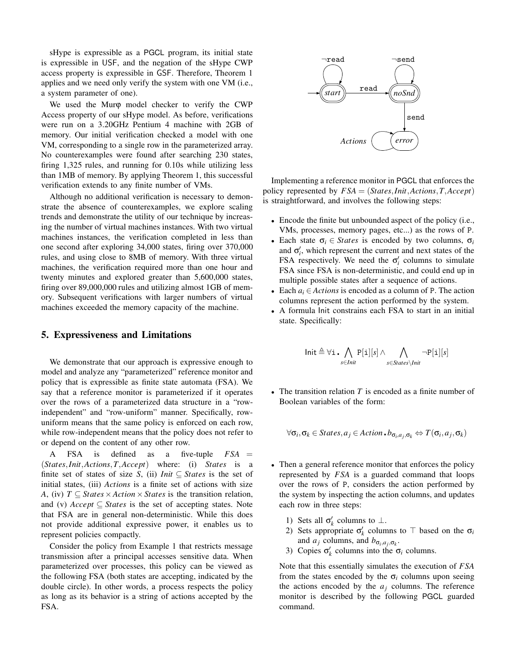sHype is expressible as a PGCL program, its initial state is expressible in USF, and the negation of the sHype CWP access property is expressible in GSF. Therefore, Theorem 1 applies and we need only verify the system with one VM (i.e., a system parameter of one).

We used the Murϕ model checker to verify the CWP Access property of our sHype model. As before, verifications were run on a 3.20GHz Pentium 4 machine with 2GB of memory. Our initial verification checked a model with one VM, corresponding to a single row in the parameterized array. No counterexamples were found after searching 230 states, firing 1,325 rules, and running for 0.10s while utilizing less than 1MB of memory. By applying Theorem 1, this successful verification extends to any finite number of VMs.

Although no additional verification is necessary to demonstrate the absence of counterexamples, we explore scaling trends and demonstrate the utility of our technique by increasing the number of virtual machines instances. With two virtual machines instances, the verification completed in less than one second after exploring 34,000 states, firing over 370,000 rules, and using close to 8MB of memory. With three virtual machines, the verification required more than one hour and twenty minutes and explored greater than 5,600,000 states, firing over 89,000,000 rules and utilizing almost 1GB of memory. Subsequent verifications with larger numbers of virtual machines exceeded the memory capacity of the machine.

### 5. Expressiveness and Limitations

We demonstrate that our approach is expressive enough to model and analyze any "parameterized" reference monitor and policy that is expressible as finite state automata (FSA). We say that a reference monitor is parameterized if it operates over the rows of a parameterized data structure in a "rowindependent" and "row-uniform" manner. Specifically, rowuniform means that the same policy is enforced on each row, while row-independent means that the policy does not refer to or depend on the content of any other row.

A FSA is defined as a five-tuple *FSA* = (*States*,*Init*,*Actions*,*T*,*Accept*) where: (i) *States* is a finite set of states of size *S*, (ii) *Init*  $\subset$  *States* is the set of initial states, (iii) *Actions* is a finite set of actions with size *A*, (iv)  $T \subseteq$  *States* × *Action* × *States* is the transition relation, and (v)  $Accept \subseteq States$  is the set of accepting states. Note that FSA are in general non-deterministic. While this does not provide additional expressive power, it enables us to represent policies compactly.

Consider the policy from Example 1 that restricts message transmission after a principal accesses sensitive data. When parameterized over processes, this policy can be viewed as the following FSA (both states are accepting, indicated by the double circle). In other words, a process respects the policy as long as its behavior is a string of actions accepted by the FSA.



Implementing a reference monitor in PGCL that enforces the policy represented by *FSA* = (*States*,*Init*,*Actions*,*T*,*Accept*) is straightforward, and involves the following steps:

- Encode the finite but unbounded aspect of the policy (i.e., VMs, processes, memory pages, etc...) as the rows of P.
- Each state  $\sigma_i \in \text{States}$  is encoded by two columns,  $\sigma_i$ and  $\sigma'_{i}$ , which represent the current and next states of the FSA respectively. We need the  $\sigma_i'$  columns to simulate FSA since FSA is non-deterministic, and could end up in multiple possible states after a sequence of actions.
- Each  $a_i \in Actions$  is encoded as a column of P. The action columns represent the action performed by the system.
- A formula Init constrains each FSA to start in an initial state. Specifically:

$$
\mathsf{Init} \triangleq \forall \mathtt{i} \centerdot \bigwedge_{s \in \mathit{Init}} P[\mathtt{i}][s] \land \bigwedge_{s \in \mathit{States} \setminus \mathit{Init}} \neg P[\mathtt{i}][s]
$$

• The transition relation *T* is encoded as a finite number of Boolean variables of the form:

$$
\forall \sigma_i, \sigma_k \in \mathit{States}, a_j \in \mathit{Action} \cdot b_{\sigma_i, a_j, \sigma_k} \Leftrightarrow T(\sigma_i, a_j, \sigma_k)
$$

- Then a general reference monitor that enforces the policy represented by *FSA* is a guarded command that loops over the rows of P, considers the action performed by the system by inspecting the action columns, and updates each row in three steps:
	- 1) Sets all  $\sigma'_k$  columns to  $\perp$ .
	- 2) Sets appropriate  $\sigma'_{k}$  columns to  $\top$  based on the  $\sigma_{i}$ and  $a_j$  columns, and  $b_{\sigma_i, a_j, \sigma_k}$ .
	- 3) Copies  $\sigma'_k$  columns into the  $\sigma_i$  columns.

Note that this essentially simulates the execution of *FSA* from the states encoded by the  $\sigma_i$  columns upon seeing the actions encoded by the  $a_j$  columns. The reference monitor is described by the following PGCL guarded command.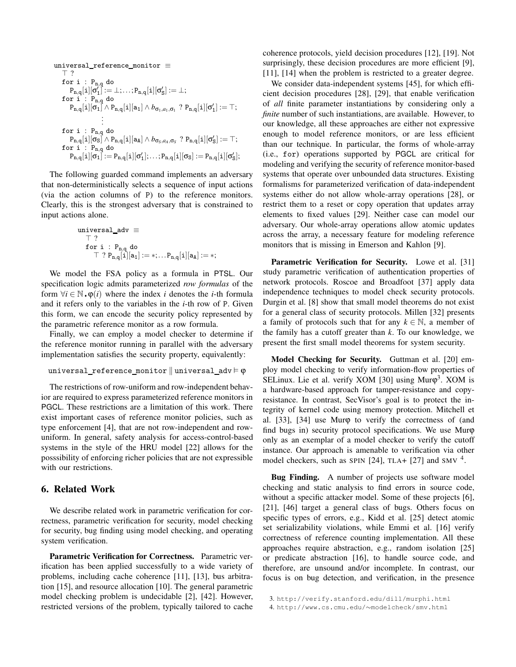$$
\begin{array}{l} \text{universal\_reference\_monitor} \equiv \\ \top \ ? \\ \text{for i : } P_{n,q} \text{ do} \\ P_{n,q}[i][\sigma'_1] := \bot; \ldots; P_{n,q}[i][\sigma'_S] := \bot; \\ \text{for i : } P_{n,q} \text{ do} \\ P_{n,q}[i][\sigma_1] \wedge P_{n,q}[i][a_1] \wedge b_{\sigma_1,a_1,\sigma_1} \ ? \ P_{n,q}[i][\sigma'_1] := \top; \\ \vdots \\ \text{for i : } P_{n,q} \text{ do} \\ P_{n,q}[i][\sigma_S] \wedge P_{n,q}[i][a_A] \wedge b_{\sigma_S,a_A,\sigma_S} \ ? \ P_{n,q}[i][\sigma'_S] := \top; \\ \text{for i : } P_{n,q} \text{ do} \\ P_{n,q}[i][\sigma_1] := P_{n,q}[i][\sigma'_1]; \ldots; P_{n,q}[i][\sigma_S] := P_{n,q}[i][\sigma'_S]; \end{array}
$$

The following guarded command implements an adversary that non-deterministically selects a sequence of input actions (via the action columns of P) to the reference monitors. Clearly, this is the strongest adversary that is constrained to input actions alone.

$$
\begin{array}{llll} \text{universal\_adv} &\equiv\\ \top&? &\\ \text{for $i$}:~P_{n,q}$ do\\ &\top&?~P_{n,q}[i][a_1]:=*; \ldots P_{n,q}[i][a_A]:=*; \end{array}
$$

We model the FSA policy as a formula in PTSL. Our specification logic admits parameterized *row formulas* of the form  $\forall i \in \mathbb{N} \cdot \varphi(i)$  where the index *i* denotes the *i*-th formula and it refers only to the variables in the *i*-th row of P. Given this form, we can encode the security policy represented by the parametric reference monitor as a row formula.

Finally, we can employ a model checker to determine if the reference monitor running in parallel with the adversary implementation satisfies the security property, equivalently:

```
universal_reference_monitor \parallel universal_adv \models \phi
```
The restrictions of row-uniform and row-independent behavior are required to express parameterized reference monitors in PGCL. These restrictions are a limitation of this work. There exist important cases of reference monitor policies, such as type enforcement [4], that are not row-independent and rowuniform. In general, safety analysis for access-control-based systems in the style of the HRU model [22] allows for the posssibility of enforcing richer policies that are not expressible with our restrictions.

# 6. Related Work

We describe related work in parametric verification for correctness, parametric verification for security, model checking for security, bug finding using model checking, and operating system verification.

Parametric Verification for Correctness. Parametric verification has been applied successfully to a wide variety of problems, including cache coherence [11], [13], bus arbitration [15], and resource allocation [10]. The general parametric model checking problem is undecidable [2], [42]. However, restricted versions of the problem, typically tailored to cache coherence protocols, yield decision procedures [12], [19]. Not surprisingly, these decision procedures are more efficient [9], [11], [14] when the problem is restricted to a greater degree.

We consider data-independent systems [45], for which efficient decision procedures [28], [29], that enable verification of *all* finite parameter instantiations by considering only a *finite* number of such instantiations, are available. However, to our knowledge, all these approaches are either not expressive enough to model reference monitors, or are less efficient than our technique. In particular, the forms of whole-array (i.e., for) operations supported by PGCL are critical for modeling and verifying the security of reference monitor-based systems that operate over unbounded data structures. Existing formalisms for parameterized verification of data-independent systems either do not allow whole-array operations [28], or restrict them to a reset or copy operation that updates array elements to fixed values [29]. Neither case can model our adversary. Our whole-array operations allow atomic updates across the array, a necessary feature for modeling reference monitors that is missing in Emerson and Kahlon [9].

Parametric Verification for Security. Lowe et al. [31] study parametric verification of authentication properties of network protocols. Roscoe and Broadfoot [37] apply data independence techniques to model check security protocols. Durgin et al. [8] show that small model theorems do not exist for a general class of security protocols. Millen [32] presents a family of protocols such that for any  $k \in \mathbb{N}$ , a member of the family has a cutoff greater than *k*. To our knowledge, we present the first small model theorems for system security.

Model Checking for Security. Guttman et al. [20] employ model checking to verify information-flow properties of SELinux. Lie et al. verify XOM [30] using Murφ<sup>3</sup>. XOM is a hardware-based approach for tamper-resistance and copyresistance. In contrast, SecVisor's goal is to protect the integrity of kernel code using memory protection. Mitchell et al. [33], [34] use Murϕ to verify the correctness of (and find bugs in) security protocol specifications. We use Mur $\varphi$ only as an exemplar of a model checker to verify the cutoff instance. Our approach is amenable to verification via other model checkers, such as SPIN [24], TLA+ [27] and SMV  $<sup>4</sup>$ .</sup>

Bug Finding. A number of projects use software model checking and static analysis to find errors in source code, without a specific attacker model. Some of these projects [6], [21], [46] target a general class of bugs. Others focus on specific types of errors, e.g., Kidd et al. [25] detect atomic set serializability violations, while Emmi et al. [16] verify correctness of reference counting implementation. All these approaches require abstraction, e.g., random isolation [25] or predicate abstraction [16], to handle source code, and therefore, are unsound and/or incomplete. In contrast, our focus is on bug detection, and verification, in the presence

<sup>3.</sup> http://verify.stanford.edu/dill/murphi.html

<sup>4.</sup> http://www.cs.cmu.edu/∼modelcheck/smv.html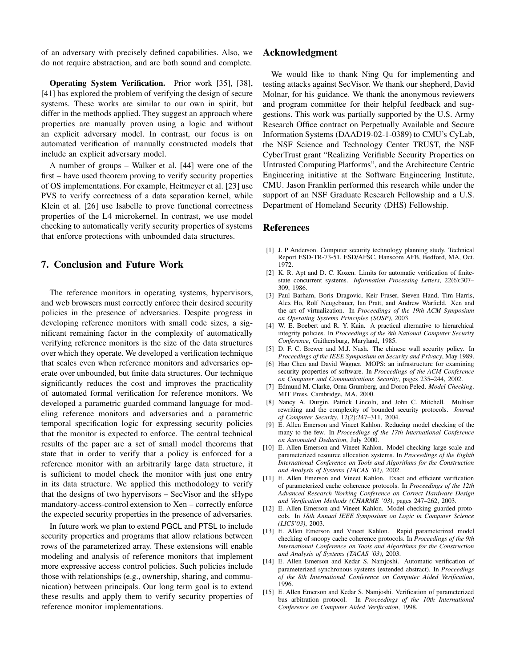of an adversary with precisely defined capabilities. Also, we do not require abstraction, and are both sound and complete.

Operating System Verification. Prior work [35], [38], [41] has explored the problem of verifying the design of secure systems. These works are similar to our own in spirit, but differ in the methods applied. They suggest an approach where properties are manually proven using a logic and without an explicit adversary model. In contrast, our focus is on automated verification of manually constructed models that include an explicit adversary model.

A number of groups – Walker et al. [44] were one of the first – have used theorem proving to verify security properties of OS implementations. For example, Heitmeyer et al. [23] use PVS to verify correctness of a data separation kernel, while Klein et al. [26] use Isabelle to prove functional correctness properties of the L4 microkernel. In contrast, we use model checking to automatically verify security properties of systems that enforce protections with unbounded data structures.

### 7. Conclusion and Future Work

The reference monitors in operating systems, hypervisors, and web browsers must correctly enforce their desired security policies in the presence of adversaries. Despite progress in developing reference monitors with small code sizes, a significant remaining factor in the complexity of automatically verifying reference monitors is the size of the data structures over which they operate. We developed a verification technique that scales even when reference monitors and adversaries operate over unbounded, but finite data structures. Our technique significantly reduces the cost and improves the practicality of automated formal verification for reference monitors. We developed a parametric guarded command language for modeling reference monitors and adversaries and a parametric temporal specification logic for expressing security policies that the monitor is expected to enforce. The central technical results of the paper are a set of small model theorems that state that in order to verify that a policy is enforced for a reference monitor with an arbitrarily large data structure, it is sufficient to model check the monitor with just one entry in its data structure. We applied this methodology to verify that the designs of two hypervisors – SecVisor and the sHype mandatory-access-control extension to Xen – correctly enforce the expected security properties in the presence of adversaries.

In future work we plan to extend PGCL and PTSL to include security properties and programs that allow relations between rows of the parameterized array. These extensions will enable modeling and analysis of reference monitors that implement more expressive access control policies. Such policies include those with relationships (e.g., ownership, sharing, and communication) between principals. Our long term goal is to extend these results and apply them to verify security properties of reference monitor implementations.

# Acknowledgment

We would like to thank Ning Qu for implementing and testing attacks against SecVisor. We thank our shepherd, David Molnar, for his guidance. We thank the anonymous reviewers and program committee for their helpful feedback and suggestions. This work was partially supported by the U.S. Army Research Office contract on Perpetually Available and Secure Information Systems (DAAD19-02-1-0389) to CMU's CyLab, the NSF Science and Technology Center TRUST, the NSF CyberTrust grant "Realizing Verifiable Security Properties on Untrusted Computing Platforms", and the Architecture Centric Engineering initiative at the Software Engineering Institute, CMU. Jason Franklin performed this research while under the support of an NSF Graduate Research Fellowship and a U.S. Department of Homeland Security (DHS) Fellowship.

#### References

- [1] J. P Anderson. Computer security technology planning study. Technical Report ESD-TR-73-51, ESD/AFSC, Hanscom AFB, Bedford, MA, Oct. 1972.
- [2] K. R. Apt and D. C. Kozen. Limits for automatic verification of finitestate concurrent systems. *Information Processing Letters*, 22(6):307– 309, 1986.
- [3] Paul Barham, Boris Dragovic, Keir Fraser, Steven Hand, Tim Harris, Alex Ho, Rolf Neugebauer, Ian Pratt, and Andrew Warfield. Xen and the art of virtualization. In *Proceedings of the 19th ACM Symposium on Operating Systems Principles (SOSP)*, 2003.
- [4] W. E. Boebert and R. Y. Kain. A practical alternative to hierarchical integrity policies. In *Proceedings of the 8th National Computer Security Conference*, Gaithersburg, Maryland, 1985.
- [5] D. F. C. Brewer and M.J. Nash. The chinese wall security policy. In *Proceedings of the IEEE Symposium on Security and Privacy*, May 1989.
- [6] Hao Chen and David Wagner. MOPS: an infrastructure for examining security properties of software. In *Proceedings of the ACM Conference on Computer and Communications Security*, pages 235–244, 2002.
- [7] Edmund M. Clarke, Orna Grumberg, and Doron Peled. *Model Checking*. MIT Press, Cambridge, MA, 2000.
- [8] Nancy A. Durgin, Patrick Lincoln, and John C. Mitchell. Multiset rewriting and the complexity of bounded security protocols. *Journal of Computer Security*, 12(2):247–311, 2004.
- [9] E. Allen Emerson and Vineet Kahlon. Reducing model checking of the many to the few. In *Proceedings of the 17th International Conference on Automated Deduction*, July 2000.
- [10] E. Allen Emerson and Vineet Kahlon. Model checking large-scale and parameterized resource allocation systems. In *Proceedings of the Eighth International Conference on Tools and Algorithms for the Construction and Analysis of Systems (TACAS '02)*, 2002.
- [11] E. Allen Emerson and Vineet Kahlon. Exact and efficient verification of parameterized cache coherence protocols. In *Proceedings of the 12th Advanced Research Working Conference on Correct Hardware Design and Verification Methods (CHARME '03)*, pages 247–262, 2003.
- [12] E. Allen Emerson and Vineet Kahlon. Model checking guarded protocols. In *18th Annual IEEE Symposium on Logic in Computer Science (LICS'03)*, 2003.
- [13] E. Allen Emerson and Vineet Kahlon. Rapid parameterized model checking of snoopy cache coherence protocols. In *Proceedings of the 9th International Conference on Tools and Algorithms for the Construction and Analysis of Systems (TACAS '03)*, 2003.
- [14] E. Allen Emerson and Kedar S. Namjoshi. Automatic verification of parameterized synchronous systems (extended abstract). In *Proceedings of the 8th International Conference on Computer Aided Verification*, 1996.
- [15] E. Allen Emerson and Kedar S. Namjoshi. Verification of parameterized bus arbitration protocol. In *Proceedings of the 10th International Conference on Computer Aided Verification*, 1998.